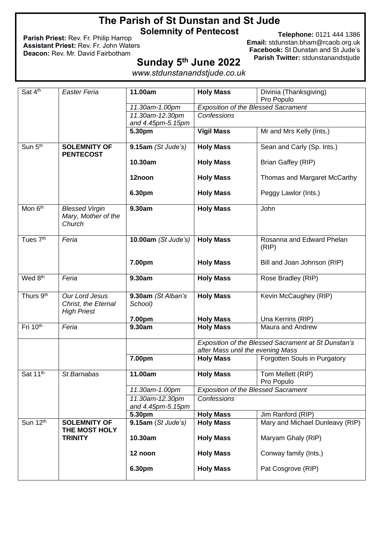## **The Parish of St Dunstan and St Jude Solemnity of Pentecost**

**Parish Priest:** Rev. Fr. Philip Harrop **Assistant Priest:** Rev. Fr. John Waters **Deacon:** Rev. Mr. David Fairbotham

**Telephone:** 0121 444 1386 **Email:** [stdunstan.bham@rcaob.org.uk](mailto:stdunstan.bham@rcaob.org.uk) **Facebook:** St Dunstan and St Jude's **Parish Twitter:** stdunstanandstjude

# **Sunday 5 th June 2022**

*www.stdunstanandstjude.co.uk*

|                       |                       | 11.00am             |                                                                                       |                                 |  |  |
|-----------------------|-----------------------|---------------------|---------------------------------------------------------------------------------------|---------------------------------|--|--|
| Sat 4th               | <b>Easter Feria</b>   |                     | <b>Holy Mass</b>                                                                      | Divinia (Thanksgiving)          |  |  |
|                       |                       |                     |                                                                                       | Pro Populo                      |  |  |
|                       |                       | 11.30am-1.00pm      | <b>Exposition of the Blessed Sacrament</b>                                            |                                 |  |  |
|                       |                       | 11.30am-12.30pm     | Confessions                                                                           |                                 |  |  |
|                       |                       | and 4.45pm-5.15pm   |                                                                                       |                                 |  |  |
|                       |                       | 5.30pm              | <b>Vigil Mass</b>                                                                     | Mr and Mrs Kelly (Ints.)        |  |  |
| Sun 5 <sup>th</sup>   | <b>SOLEMNITY OF</b>   |                     |                                                                                       | Sean and Carly (Sp. Ints.)      |  |  |
|                       | <b>PENTECOST</b>      | 9.15am(St Jude's)   | <b>Holy Mass</b>                                                                      |                                 |  |  |
|                       |                       | 10.30am             | <b>Holy Mass</b>                                                                      | Brian Gaffey (RIP)              |  |  |
|                       |                       |                     |                                                                                       |                                 |  |  |
|                       |                       | 12noon              | <b>Holy Mass</b>                                                                      | Thomas and Margaret McCarthy    |  |  |
|                       |                       |                     |                                                                                       |                                 |  |  |
|                       |                       | 6.30pm              | <b>Holy Mass</b>                                                                      | Peggy Lawlor (Ints.)            |  |  |
|                       |                       |                     |                                                                                       |                                 |  |  |
| Mon 6 <sup>th</sup>   | <b>Blessed Virgin</b> | 9.30am              | <b>Holy Mass</b>                                                                      | John                            |  |  |
|                       | Mary, Mother of the   |                     |                                                                                       |                                 |  |  |
|                       | Church                |                     |                                                                                       |                                 |  |  |
|                       |                       |                     |                                                                                       |                                 |  |  |
| Tues 7 <sup>th</sup>  | Feria                 | 10.00am (St Jude's) | <b>Holy Mass</b>                                                                      | Rosanna and Edward Phelan       |  |  |
|                       |                       |                     |                                                                                       | (RIP)                           |  |  |
|                       |                       |                     |                                                                                       |                                 |  |  |
|                       |                       | 7.00pm              | <b>Holy Mass</b>                                                                      | Bill and Joan Johnson (RIP)     |  |  |
|                       |                       |                     |                                                                                       |                                 |  |  |
| Wed 8 <sup>th</sup>   | Feria                 | 9.30am              | <b>Holy Mass</b>                                                                      | Rose Bradley (RIP)              |  |  |
|                       |                       |                     |                                                                                       |                                 |  |  |
| Thurs 9 <sup>th</sup> | Our Lord Jesus        | 9.30am (St Alban's  | <b>Holy Mass</b>                                                                      | Kevin McCaughey (RIP)           |  |  |
|                       | Christ, the Eternal   | School)             |                                                                                       |                                 |  |  |
|                       | <b>High Priest</b>    |                     |                                                                                       |                                 |  |  |
|                       |                       | 7.00pm              | <b>Holy Mass</b>                                                                      | Una Kerrins (RIP)               |  |  |
| Fri 10th              | Feria                 | 9.30am              | <b>Holy Mass</b>                                                                      | Maura and Andrew                |  |  |
|                       |                       |                     |                                                                                       |                                 |  |  |
|                       |                       |                     | Exposition of the Blessed Sacrament at St Dunstan's                                   |                                 |  |  |
|                       |                       |                     | after Mass until the evening Mass<br><b>Holy Mass</b><br>Forgotten Souls in Purgatory |                                 |  |  |
|                       |                       | 7.00pm              |                                                                                       |                                 |  |  |
| Sat 11 <sup>th</sup>  | St Barnabas           | 11.00am             | <b>Holy Mass</b>                                                                      | Tom Mellett (RIP)               |  |  |
|                       |                       |                     |                                                                                       | Pro Populo                      |  |  |
|                       |                       | 11.30am-1.00pm      | <b>Exposition of the Blessed Sacrament</b>                                            |                                 |  |  |
|                       |                       | 11.30am-12.30pm     | Confessions                                                                           |                                 |  |  |
|                       |                       | and 4.45pm-5.15pm   |                                                                                       |                                 |  |  |
|                       |                       | 5.30pm              | <b>Holy Mass</b>                                                                      | Jim Ranford (RIP)               |  |  |
| Sun 12th              | <b>SOLEMNITY OF</b>   | 9.15am (St Jude's)  | <b>Holy Mass</b>                                                                      | Mary and Michael Dunleavy (RIP) |  |  |
|                       | THE MOST HOLY         |                     |                                                                                       |                                 |  |  |
|                       | <b>TRINITY</b>        | 10.30am             | <b>Holy Mass</b>                                                                      | Maryam Ghaly (RIP)              |  |  |
|                       |                       |                     |                                                                                       |                                 |  |  |
|                       |                       | 12 noon             | <b>Holy Mass</b>                                                                      | Conway family (Ints.)           |  |  |
|                       |                       |                     |                                                                                       |                                 |  |  |
|                       |                       | 6.30pm              | <b>Holy Mass</b>                                                                      | Pat Cosgrove (RIP)              |  |  |
|                       |                       |                     |                                                                                       |                                 |  |  |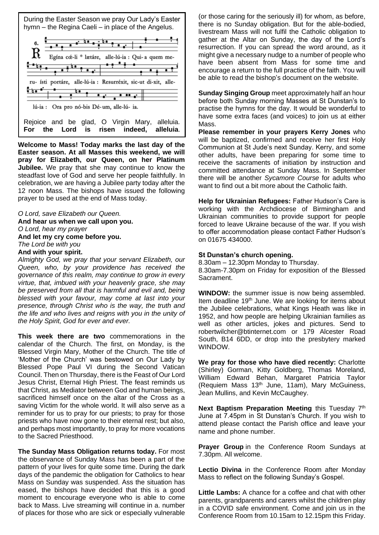

**Welcome to Mass! Today marks the last day of the Easter season. At all Masses this weekend, we will pray for Elizabeth, our Queen, on her Platinum Jubilee.** We pray that she may continue to know the steadfast love of God and serve her people faithfully. In celebration, we are having a Jubilee party today after the 12 noon Mass. The bishops have issued the following prayer to be used at the end of Mass today.

*O Lord, save Elizabeth our Queen.* **And hear us when we call upon you.** *O Lord, hear my prayer* **And let my cry come before you.** *The Lord be with you* **And with your spirit.**

*Almighty God, we pray that your servant Elizabeth, our Queen, who, by your providence has received the governance of this realm, may continue to grow in every virtue, that, imbued with your heavenly grace, she may be preserved from all that is harmful and evil and, being blessed with your favour, may come at last into your presence, through Christ who is the way, the truth and the life and who lives and reigns with you in the unity of the Holy Spirit, God for ever and ever.*

**This week there are two** commemorations in the calendar of the Church. The first, on Monday, is the Blessed Virgin Mary, Mother of the Church. The title of 'Mother of the Church' was bestowed on Our Lady by Blessed Pope Paul VI during the Second Vatican Council. Then on Thursday, there is the Feast of Our Lord Jesus Christ, Eternal High Priest. The feast reminds us that Christ, as Mediator between God and human beings, sacrificed himself once on the altar of the Cross as a saving Victim for the whole world. It will also serve as a reminder for us to pray for our priests; to pray for those priests who have now gone to their eternal rest; but also, and perhaps most importantly, to pray for more vocations to the Sacred Priesthood.

**The Sunday Mass Obligation returns today.** For most the observance of Sunday Mass has been a part of the pattern of your lives for quite some time. During the dark days of the pandemic the obligation for Catholics to hear Mass on Sunday was suspended. Ass the situation has eased, the bishops have decided that this is a good moment to encourage everyone who is able to come back to Mass. Live streaming will continue in a. number of places for those who are sick or especially vulnerable

(or those caring for the seriously ill) for whom, as before, there is no Sunday obligation. But for the able-bodied, livestream Mass will not fulfil the Catholic obligation to gather at the Altar on Sunday, the day of the Lord's resurrection. If you can spread the word around, as it might give a necessary nudge to a number of people who have been absent from Mass for some time and encourage a return to the full practice of the faith. You will be able to read the bishop's document on the website.

**Sunday Singing Group** meet approximately half an hour before both Sunday morning Masses at St Dunstan's to practise the hymns for the day. It would be wonderful to have some extra faces (and voices) to join us at either Mass.

**Please remember in your prayers Kerry Jones** who will be baptized, confirmed and receive her first Holy Communion at St Jude's next Sunday. Kerry, and some other adults, have been preparing for some time to receive the sacraments of initiation by instruction and committed attendance at Sunday Mass. In September there will be another *Sycamore Course* for adults who want to find out a bit more about the Catholic faith.

**Help for Ukrainian Refugees:** Father Hudson's Care is working with the Archdiocese of Birmingham and Ukrainian communities to provide support for people forced to leave Ukraine because of the war. If you wish to offer accommodation please contact Father Hudson's on 01675 434000.

#### **St Dunstan's church opening.**

8.30am – 12.30pm Monday to Thursday. 8.30am-7.30pm on Friday for exposition of the Blessed Sacrament.

**WINDOW:** the summer issue is now being assembled. Item deadline 19<sup>th</sup> June. We are looking for items about the Jubilee celebrations, what Kings Heath was like in 1952, and how people are helping Ukrainian families as well as other articles, jokes and pictures. Send to [robertwilcher@btinternet.com](mailto:robertwilcher@btinternet.com) or 179 Alcester Road South, B14 6DD, or drop into the presbytery marked WINDOW.

**We pray for those who have died recently:** Charlotte (Shirley) Gorman, Kitty Goldberg, Thomas Moreland, William Edward Behan, Margaret Patricia Taylor (Requiem Mass 13th June, 11am), Mary McGuiness, Jean Mullins, and Kevin McCaughey.

**Next Baptism Preparation Meeting this Tuesday 7<sup>th</sup>** June at 7.45pm in St Dunstan's Church. If you wish to attend please contact the Parish office and leave your name and phone number.

**Prayer Group** in the Conference Room Sundays at 7.30pm. All welcome.

**Lectio Divina** in the Conference Room after Monday Mass to reflect on the following Sunday's Gospel.

**Little Lambs:** A chance for a coffee and chat with other parents, grandparents and carers whilst the children play in a COVID safe environment. Come and join us in the Conference Room from 10.15am to 12.15pm this Friday.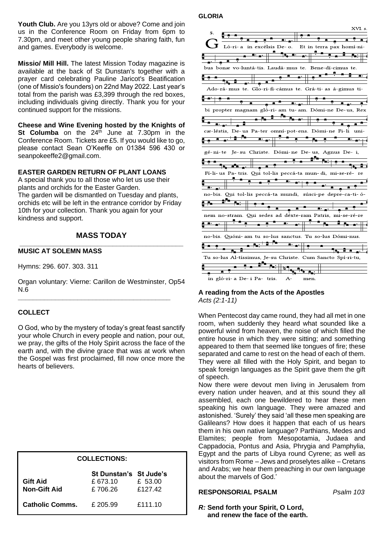**Youth Club.** Are you 13yrs old or above? Come and join us in the Conference Room on Friday from 6pm to 7.30pm, and meet other young people sharing faith, fun and games. Everybody is welcome.

**Missio/ Mill Hill.** The latest Mission Today magazine is available at the back of St Dunstan's together with a prayer card celebrating Pauline Jaricot's Beatification (one of Missio's founders) on 22nd May 2022. Last year's total from the parish was £3,399 through the red boxes, including individuals giving directly. Thank you for your continued support for the missions.

**Cheese and Wine Evening hosted by the Knights of St Columba** on the 24<sup>th</sup> June at 7.30pm in the Conference Room. Tickets are £5. If you would like to go, please contact Sean O'Keeffe on 01384 596 430 or seanpokeeffe2@gmail.com.

#### **EASTER GARDEN RETURN OF PLANT LOANS**

A special thank you to all those who let us use their plants and orchids for the Easter Garden. The garden will be dismantled on Tuesday and plants, orchids etc will be left in the entrance corridor by Friday 10th for your collection. Thank you again for your kindness and support.

#### **MASS TODAY \_\_\_\_\_\_\_\_\_\_\_\_\_\_\_\_\_\_\_\_\_\_\_\_\_\_\_\_\_\_\_\_\_\_\_\_\_\_\_\_\_\_\_\_**

#### **MUSIC AT SOLEMN MASS**

Hymns: 296. 607. 303. 311

Organ voluntary: Vierne: Carillon de Westminster, Op54  $N.\overline{6}$ 

**\_\_\_\_\_\_\_\_\_\_\_\_\_\_\_\_\_\_\_\_\_\_\_\_\_\_\_\_\_\_\_\_\_\_\_\_\_\_\_\_\_**

#### **COLLECT**

O God, who by the mystery of today's great feast sanctify your whole Church in every people and nation, pour out, we pray, the gifts of the Holy Spirit across the face of the earth and, with the divine grace that was at work when the Gospel was first proclaimed, fill now once more the hearts of believers.

| <b>COLLECTIONS:</b>                    |                                               |                    |  |  |  |  |  |  |
|----------------------------------------|-----------------------------------------------|--------------------|--|--|--|--|--|--|
| <b>Gift Aid</b><br><b>Non-Gift Aid</b> | St Dunstan's St Jude's<br>£ 673.10<br>£706.26 | £ 53.00<br>£127.42 |  |  |  |  |  |  |
| <b>Catholic Comms.</b>                 | £ 205.99                                      | £111.10            |  |  |  |  |  |  |

#### **GLORIA**

|                                                             |                             |  |                           |                          | XVI. S. |
|-------------------------------------------------------------|-----------------------------|--|---------------------------|--------------------------|---------|
| 5.                                                          |                             |  |                           |                          |         |
|                                                             |                             |  |                           | <u> 7 A</u>              |         |
|                                                             |                             |  |                           |                          |         |
|                                                             | Ló-ri- a in excélsis De- o. |  |                           | Et in terra pax homí-ni- |         |
|                                                             |                             |  |                           |                          |         |
|                                                             |                             |  |                           |                          |         |
|                                                             |                             |  |                           |                          |         |
| bus bonæ vo-luntá-tis. Laudá-mus te. Bene-dí-cimus te.      |                             |  |                           |                          |         |
|                                                             |                             |  |                           |                          |         |
|                                                             |                             |  |                           |                          |         |
| ▜ <sub>❤</sub> ▁▐▁                                          |                             |  |                           |                          |         |
|                                                             |                             |  |                           |                          |         |
| Ado-rá-mus te. Glo-ri-fi-cámus te. Grá-ti- as á-gimus ti-   |                             |  |                           |                          |         |
|                                                             |                             |  |                           |                          |         |
|                                                             |                             |  |                           |                          |         |
|                                                             | π                           |  | $\mathbf{R}^{\mathbf{r}}$ |                          |         |
|                                                             |                             |  |                           |                          |         |
| bi propter magnam gló-ri- am tu- am. Dómi-ne De-us, Rex     |                             |  |                           |                          |         |
|                                                             |                             |  |                           |                          |         |
|                                                             |                             |  |                           |                          |         |
|                                                             |                             |  |                           |                          |         |
| cæ-léstis, De-us Pa-ter omní-pot-ens. Dómi-ne Fi-li         |                             |  |                           |                          | uni-    |
|                                                             |                             |  |                           |                          |         |
|                                                             |                             |  |                           |                          |         |
|                                                             |                             |  |                           |                          |         |
|                                                             |                             |  |                           |                          |         |
| gé-ni-te Je-su Christe. Dómi-ne De-us, Agnus De-i,          |                             |  |                           |                          |         |
|                                                             |                             |  |                           |                          |         |
|                                                             |                             |  |                           |                          |         |
|                                                             | $\lambda$ in $\lambda$      |  |                           |                          |         |
|                                                             |                             |  |                           |                          |         |
| Fí-li-us Pa-tris. Qui tol-lis peccá-ta mun-di, mi-se-ré- re |                             |  |                           |                          |         |
|                                                             |                             |  |                           |                          |         |
|                                                             |                             |  |                           |                          |         |
|                                                             |                             |  |                           |                          |         |
| no-bis. Qui tol-lis peccá-ta mundi, súsci-pe depre-ca-ti-ó- |                             |  |                           |                          |         |
|                                                             |                             |  |                           |                          |         |
|                                                             |                             |  |                           |                          |         |
|                                                             |                             |  |                           | <b>A</b>                 |         |
|                                                             |                             |  |                           |                          |         |
| nem no-stram. Qui sedes ad déxte-ram Patris, mi-se-ré-re    |                             |  |                           |                          |         |
|                                                             |                             |  |                           |                          |         |
|                                                             |                             |  |                           |                          |         |
|                                                             |                             |  |                           |                          |         |
|                                                             |                             |  |                           |                          |         |
| no-bis. Quóni- am tu so-lus sanctus. Tu so-lus Dómi-nus.    |                             |  |                           |                          |         |
|                                                             |                             |  |                           |                          |         |
|                                                             |                             |  |                           |                          |         |
|                                                             |                             |  |                           |                          |         |
|                                                             |                             |  |                           |                          |         |
|                                                             |                             |  |                           |                          |         |
|                                                             |                             |  |                           |                          |         |
|                                                             |                             |  |                           |                          |         |
|                                                             |                             |  |                           |                          |         |
| Tu so-lus Al-tíssimus, Je-su Christe. Cum Sancto Spí-ri-tu, |                             |  |                           |                          |         |

#### **A reading from the Acts of the Apostles** *Acts (2:1-11)*

When Pentecost day came round, they had all met in one room, when suddenly they heard what sounded like a powerful wind from heaven, the noise of which filled the entire house in which they were sitting; and something appeared to them that seemed like tongues of fire; these separated and came to rest on the head of each of them. They were all filled with the Holy Spirit, and began to speak foreign languages as the Spirit gave them the gift of speech.

Now there were devout men living in Jerusalem from every nation under heaven, and at this sound they all assembled, each one bewildered to hear these men speaking his own language. They were amazed and astonished. 'Surely' they said 'all these men speaking are Galileans? How does it happen that each of us hears them in his own native language? Parthians, Medes and Elamites; people from Mesopotamia, Judaea and Cappadocia, Pontus and Asia, Phrygia and Pamphylia, Egypt and the parts of Libya round Cyrene; as well as visitors from Rome – Jews and proselytes alike – Cretans and Arabs; we hear them preaching in our own language about the marvels of God.'

## **RESPONSORIAL PSALM** *Psalm 103*

#### *R:* **Send forth your Spirit, O Lord, and renew the face of the earth.**